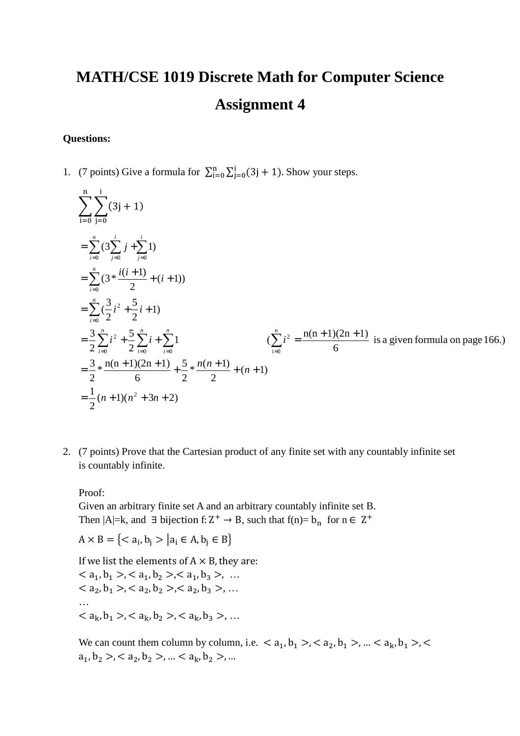## **MATH/CSE 1019 Discrete Math for Computer Science Assignment 4**

## **Questions:**

1. (7 points) Give a formula for  $\sum_{i=0}^{n} \sum_{j=0}^{i} (3j + 1)$ . Show your steps.

$$
\sum_{i=0}^{n} \sum_{j=0}^{i} (3j + 1)
$$
\n
$$
= \sum_{i=0}^{n} (3 \sum_{j=0}^{i} j + \sum_{j=0}^{i} 1)
$$
\n
$$
= \sum_{i=0}^{n} (3 * \frac{i(i+1)}{2} + (i+1))
$$
\n
$$
= \sum_{i=0}^{n} (\frac{3}{2}i^{2} + \frac{5}{2}i + 1)
$$
\n
$$
= \frac{3}{2} \sum_{i=0}^{n} i^{2} + \frac{5}{2} \sum_{i=0}^{n} i + \sum_{i=0}^{n} 1
$$
\n
$$
= \frac{3}{2} * \frac{n(n+1)(2n+1)}{6} + \frac{5}{2} * \frac{n(n+1)}{2} + (n+1)
$$
\n
$$
= \frac{1}{2}(n+1)(n^{2} + 3n + 2)
$$

2. (7 points) Prove that the Cartesian product of any finite set with any countably infinite set is countably infinite.

## Proof:

Given an arbitrary finite set A and an arbitrary countably infinite set B. Then  $|A|=k$ , and  $\exists$  bijection f:  $Z^+ \rightarrow B$ , such that f(n)=  $b_n$  for  $n \in Z^+$ 

$$
A \times B = \{ < a_i, b_j > |a_i \in A, b_j \in B \}
$$

If we list the elements of  $A \times B$ , they are:

 $<$  a<sub>1</sub>, b<sub>1</sub> >, < a<sub>1</sub>, b<sub>2</sub> >, < a<sub>1</sub>, b<sub>3</sub> >, ...  $<$  a<sub>2</sub>, b<sub>1</sub> >, < a<sub>2</sub>, b<sub>2</sub> >, < a<sub>2</sub>, b<sub>3</sub> >, ... …  $< a_k, b_1 > c_1, b_2 > c_2, a_k, b_3 > \ldots$ 

We can count them column by column, i.e.  $\langle a_1, b_1 \rangle, \langle a_2, b_1 \rangle, \ldots, \langle a_k, b_1 \rangle, \langle a_k, b_k \rangle$  $a_1, b_2 > 0 < a_2, b_2 > 0 \ldots < a_k, b_2 > 0 \ldots$